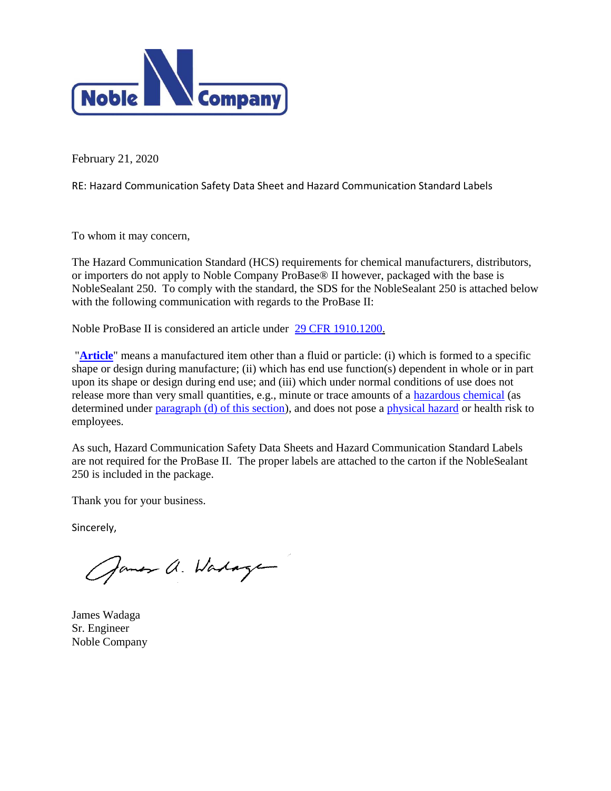

February 21, 2020

RE: Hazard Communication Safety Data Sheet and Hazard Communication Standard Labels

To whom it may concern,

The Hazard Communication Standard (HCS) requirements for chemical manufacturers, distributors, or importers do not apply to Noble Company ProBase® II however, packaged with the base is NobleSealant 250. To comply with the standard, the SDS for the NobleSealant 250 is attached below with the following communication with regards to the ProBase II:

Noble ProBase II is considered an article under [29 CFR 1910.1200.](http://www.ilpi.com/msds/osha/1910_1200.html#1910.1200)

"**[Article](http://www.ilpi.com/msds/faq/partb.html#article)**" means a manufactured item other than a fluid or particle: (i) which is formed to a specific shape or design during manufacture; (ii) which has end use function(s) dependent in whole or in part upon its shape or design during end use; and (iii) which under normal conditions of use does not release more than very small quantities, e.g., minute or trace amounts of a [hazardous](http://www.ilpi.com/msds/ref/hazardous.html) [chemical](http://www.ilpi.com/msds/ref/chemical.html) (as determined under [paragraph \(d\) of this section\)](http://www.ilpi.com/msds/osha/1910_1200.html#1910.1200(d)), and does not pose a [physical hazard](http://www.ilpi.com/msds/ref/hazardous.html#physical) or health risk to employees.

As such, Hazard Communication Safety Data Sheets and Hazard Communication Standard Labels are not required for the ProBase II. The proper labels are attached to the carton if the NobleSealant 250 is included in the package.

Thank you for your business.

Sincerely,

James a. Wadage

James Wadaga Sr. Engineer Noble Company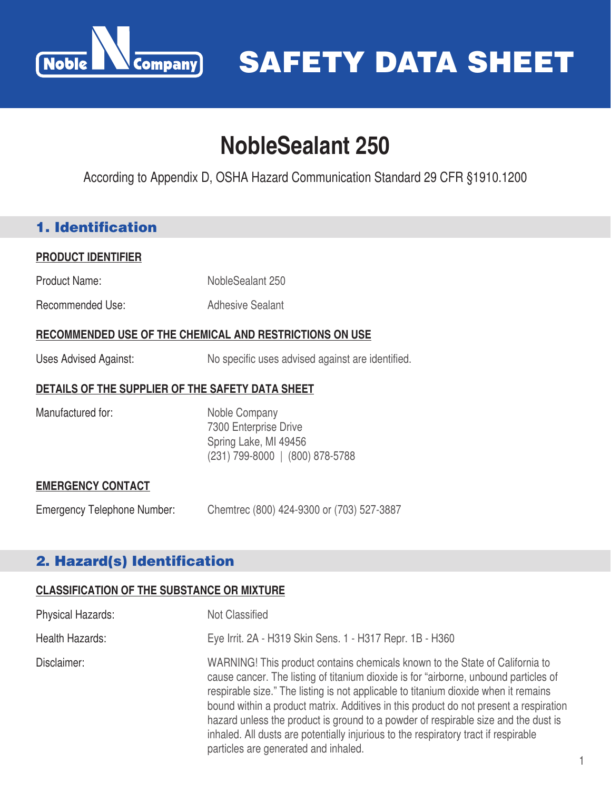

# **NobleSealant 250**

According to Appendix D, OSHA Hazard Communication Standard 29 CFR §1910.1200

### 1. Identification

#### **PRODUCT IDENTIFIER**

- Product Name: NobleSealant 250
- Recommended Use: Adhesive Sealant

#### **RECOMMENDED USE OF THE CHEMICAL AND RESTRICTIONS ON USE**

Uses Advised Against: No specific uses advised against are identified.

#### **DETAILS OF THE SUPPLIER OF THE SAFETY DATA SHEET**

Manufactured for: Noble Company 7300 Enterprise Drive Spring Lake, MI 49456 (231) 799-8000 | (800) 878-5788

#### **EMERGENCY CONTACT**

Emergency Telephone Number: Chemtrec (800) 424-9300 or (703) 527-3887

### 2. Hazard(s) Identification

#### **CLASSIFICATION OF THE SUBSTANCE OR MIXTURE**

| Physical Hazards: | Not Classified                                                                                                                                                                                                                                                                                                                                                                                                                                                                                                                                                            |
|-------------------|---------------------------------------------------------------------------------------------------------------------------------------------------------------------------------------------------------------------------------------------------------------------------------------------------------------------------------------------------------------------------------------------------------------------------------------------------------------------------------------------------------------------------------------------------------------------------|
| Health Hazards:   | Eye Irrit. 2A - H319 Skin Sens. 1 - H317 Repr. 1B - H360                                                                                                                                                                                                                                                                                                                                                                                                                                                                                                                  |
| Disclaimer:       | WARNING! This product contains chemicals known to the State of California to<br>cause cancer. The listing of titanium dioxide is for "airborne, unbound particles of<br>respirable size." The listing is not applicable to titanium dioxide when it remains<br>bound within a product matrix. Additives in this product do not present a respiration<br>hazard unless the product is ground to a powder of respirable size and the dust is<br>inhaled. All dusts are potentially injurious to the respiratory tract if respirable<br>particles are generated and inhaled. |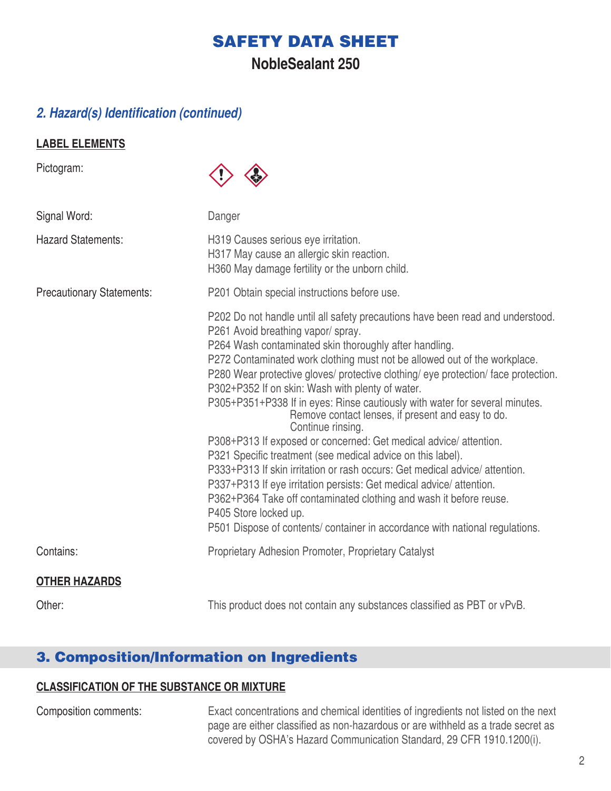## **NobleSealant 250**

### *2. Hazard(s) Identification (continued)*

#### **LABEL ELEMENTS**

Pictogram:



| Signal Word:                     | Danger                                                                                                                                                                                                                                                                                                                                                                                                                                                                                                                                                                                                                                                                                                                                                                                                                                                                                                                                                                                                                               |
|----------------------------------|--------------------------------------------------------------------------------------------------------------------------------------------------------------------------------------------------------------------------------------------------------------------------------------------------------------------------------------------------------------------------------------------------------------------------------------------------------------------------------------------------------------------------------------------------------------------------------------------------------------------------------------------------------------------------------------------------------------------------------------------------------------------------------------------------------------------------------------------------------------------------------------------------------------------------------------------------------------------------------------------------------------------------------------|
| <b>Hazard Statements:</b>        | H319 Causes serious eye irritation.<br>H317 May cause an allergic skin reaction.<br>H360 May damage fertility or the unborn child.                                                                                                                                                                                                                                                                                                                                                                                                                                                                                                                                                                                                                                                                                                                                                                                                                                                                                                   |
| <b>Precautionary Statements:</b> | P201 Obtain special instructions before use.                                                                                                                                                                                                                                                                                                                                                                                                                                                                                                                                                                                                                                                                                                                                                                                                                                                                                                                                                                                         |
|                                  | P202 Do not handle until all safety precautions have been read and understood.<br>P261 Avoid breathing vapor/spray.<br>P264 Wash contaminated skin thoroughly after handling.<br>P272 Contaminated work clothing must not be allowed out of the workplace.<br>P280 Wear protective gloves/ protective clothing/ eye protection/ face protection.<br>P302+P352 If on skin: Wash with plenty of water.<br>P305+P351+P338 If in eyes: Rinse cautiously with water for several minutes.<br>Remove contact lenses, if present and easy to do.<br>Continue rinsing.<br>P308+P313 If exposed or concerned: Get medical advice/attention.<br>P321 Specific treatment (see medical advice on this label).<br>P333+P313 If skin irritation or rash occurs: Get medical advice/attention.<br>P337+P313 If eye irritation persists: Get medical advice/attention.<br>P362+P364 Take off contaminated clothing and wash it before reuse.<br>P405 Store locked up.<br>P501 Dispose of contents/ container in accordance with national regulations. |
| Contains:                        | Proprietary Adhesion Promoter, Proprietary Catalyst                                                                                                                                                                                                                                                                                                                                                                                                                                                                                                                                                                                                                                                                                                                                                                                                                                                                                                                                                                                  |
| <b>OTHER HAZARDS</b>             |                                                                                                                                                                                                                                                                                                                                                                                                                                                                                                                                                                                                                                                                                                                                                                                                                                                                                                                                                                                                                                      |
| Other:                           | This product does not contain any substances classified as PBT or vPvB.                                                                                                                                                                                                                                                                                                                                                                                                                                                                                                                                                                                                                                                                                                                                                                                                                                                                                                                                                              |

### 3. Composition/Information on Ingredients

### **CLASSIFICATION OF THE SUBSTANCE OR MIXTURE**

Composition comments: Exact concentrations and chemical identities of ingredients not listed on the next page are either classified as non-hazardous or are withheld as a trade secret as covered by OSHA's Hazard Communication Standard, 29 CFR 1910.1200(i).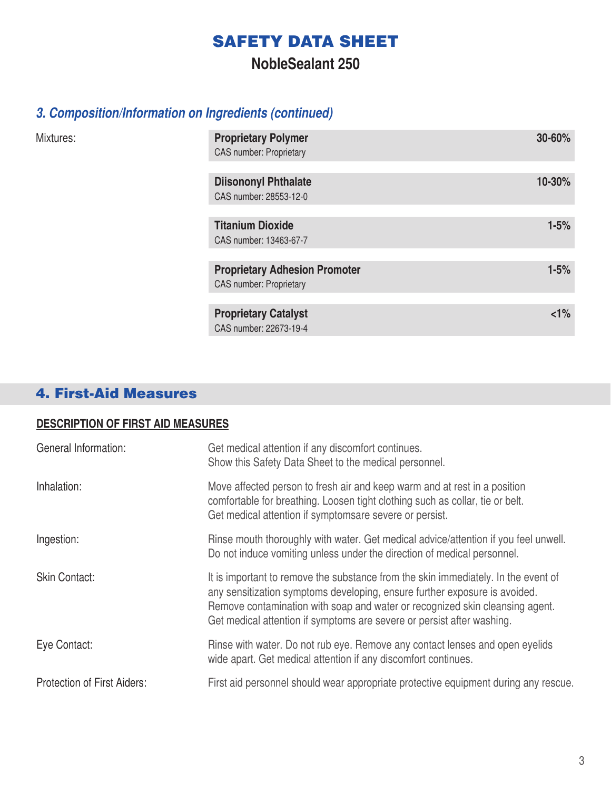### **NobleSealant 250**

### *3. Composition/Information on Ingredients (continued)*

| Mixtures: | <b>Proprietary Polymer</b><br><b>CAS number: Proprietary</b>           | 30-60%   |
|-----------|------------------------------------------------------------------------|----------|
|           | <b>Diisononyl Phthalate</b><br>CAS number: 28553-12-0                  | 10-30%   |
|           | <b>Titanium Dioxide</b><br>CAS number: 13463-67-7                      | $1 - 5%$ |
|           | <b>Proprietary Adhesion Promoter</b><br><b>CAS number: Proprietary</b> | $1 - 5%$ |
|           | <b>Proprietary Catalyst</b><br>CAS number: 22673-19-4                  | $1\%$    |

# 4. First-Aid Measures

#### **DESCRIPTION OF FIRST AID MEASURES**

| General Information:               | Get medical attention if any discomfort continues.<br>Show this Safety Data Sheet to the medical personnel.                                                                                                                                                                                                                |
|------------------------------------|----------------------------------------------------------------------------------------------------------------------------------------------------------------------------------------------------------------------------------------------------------------------------------------------------------------------------|
| Inhalation:                        | Move affected person to fresh air and keep warm and at rest in a position<br>comfortable for breathing. Loosen tight clothing such as collar, tie or belt.<br>Get medical attention if symptomsare severe or persist.                                                                                                      |
| Ingestion:                         | Rinse mouth thoroughly with water. Get medical advice/attention if you feel unwell.<br>Do not induce vomiting unless under the direction of medical personnel.                                                                                                                                                             |
| <b>Skin Contact:</b>               | It is important to remove the substance from the skin immediately. In the event of<br>any sensitization symptoms developing, ensure further exposure is avoided.<br>Remove contamination with soap and water or recognized skin cleansing agent.<br>Get medical attention if symptoms are severe or persist after washing. |
| Eye Contact:                       | Rinse with water. Do not rub eye. Remove any contact lenses and open eyelids<br>wide apart. Get medical attention if any discomfort continues.                                                                                                                                                                             |
| <b>Protection of First Aiders:</b> | First aid personnel should wear appropriate protective equipment during any rescue.                                                                                                                                                                                                                                        |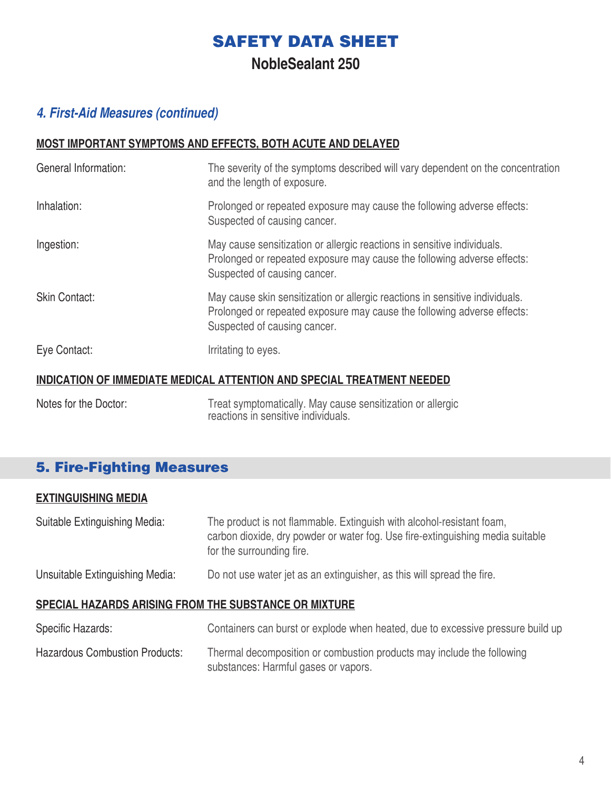**NobleSealant 250**

### *4. First-Aid Measures (continued)*

#### **MOST IMPORTANT SYMPTOMS AND EFFECTS, BOTH ACUTE AND DELAYED**

| General Information: | The severity of the symptoms described will vary dependent on the concentration<br>and the length of exposure.                                                                          |
|----------------------|-----------------------------------------------------------------------------------------------------------------------------------------------------------------------------------------|
| Inhalation:          | Prolonged or repeated exposure may cause the following adverse effects:<br>Suspected of causing cancer.                                                                                 |
| Ingestion:           | May cause sensitization or allergic reactions in sensitive individuals.<br>Prolonged or repeated exposure may cause the following adverse effects:<br>Suspected of causing cancer.      |
| <b>Skin Contact:</b> | May cause skin sensitization or allergic reactions in sensitive individuals.<br>Prolonged or repeated exposure may cause the following adverse effects:<br>Suspected of causing cancer. |
| Eye Contact:         | Irritating to eyes.                                                                                                                                                                     |
|                      | <b>INDICATION OF IMMEDIATE MEDICAL ATTENTION AND SPECIAL TREATMENT NEEDED</b>                                                                                                           |

Notes for the Doctor: Treat symptomatically. May cause sensitization or allergic reactions in sensitive individuals.

### 5. Fire-Fighting Measures

#### **EXTINGUISHING MEDIA**

Suitable Extinguishing Media: The product is not flammable. Extinguish with alcohol-resistant foam, carbon dioxide, dry powder or water fog. Use fire-extinguishing media suitable for the surrounding fire. Unsuitable Extinguishing Media: Do not use water jet as an extinguisher, as this will spread the fire.

#### **SPECIAL HAZARDS ARISING FROM THE SUBSTANCE OR MIXTURE**

| Specific Hazards:              | Containers can burst or explode when heated, due to excessive pressure build up                                |
|--------------------------------|----------------------------------------------------------------------------------------------------------------|
| Hazardous Combustion Products: | Thermal decomposition or combustion products may include the following<br>substances: Harmful gases or vapors. |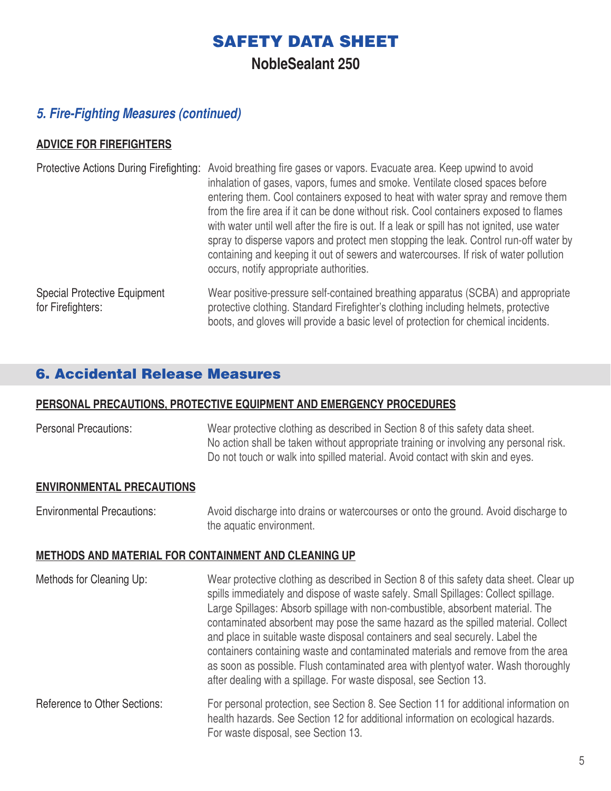**NobleSealant 250**

### *5. Fire-Fighting Measures (continued)*

#### **ADVICE FOR FIREFIGHTERS**

| <b>Protective Actions During Firefighting:</b>           | Avoid breathing fire gases or vapors. Evacuate area. Keep upwind to avoid<br>inhalation of gases, vapors, fumes and smoke. Ventilate closed spaces before<br>entering them. Cool containers exposed to heat with water spray and remove them<br>from the fire area if it can be done without risk. Cool containers exposed to flames<br>with water until well after the fire is out. If a leak or spill has not ignited, use water<br>spray to disperse vapors and protect men stopping the leak. Control run-off water by<br>containing and keeping it out of sewers and watercourses. If risk of water pollution<br>occurs, notify appropriate authorities. |
|----------------------------------------------------------|---------------------------------------------------------------------------------------------------------------------------------------------------------------------------------------------------------------------------------------------------------------------------------------------------------------------------------------------------------------------------------------------------------------------------------------------------------------------------------------------------------------------------------------------------------------------------------------------------------------------------------------------------------------|
| <b>Special Protective Equipment</b><br>for Firefighters: | Wear positive-pressure self-contained breathing apparatus (SCBA) and appropriate<br>protective clothing. Standard Firefighter's clothing including helmets, protective<br>boots, and gloves will provide a basic level of protection for chemical incidents.                                                                                                                                                                                                                                                                                                                                                                                                  |

### 6. Accidental Release Measures

#### **PERSONAL PRECAUTIONS, PROTECTIVE EQUIPMENT AND EMERGENCY PROCEDURES**

Personal Precautions: Wear protective clothing as described in Section 8 of this safety data sheet. No action shall be taken without appropriate training or involving any personal risk. Do not touch or walk into spilled material. Avoid contact with skin and eyes.

#### **ENVIRONMENTAL PRECAUTIONS**

Environmental Precautions: Avoid discharge into drains or watercourses or onto the ground. Avoid discharge to the aquatic environment.

#### **METHODS AND MATERIAL FOR CONTAINMENT AND CLEANING UP**

| Methods for Cleaning Up:     | Wear protective clothing as described in Section 8 of this safety data sheet. Clear up<br>spills immediately and dispose of waste safely. Small Spillages: Collect spillage.<br>Large Spillages: Absorb spillage with non-combustible, absorbent material. The<br>contaminated absorbent may pose the same hazard as the spilled material. Collect<br>and place in suitable waste disposal containers and seal securely. Label the<br>containers containing waste and contaminated materials and remove from the area<br>as soon as possible. Flush contaminated area with plenty of water. Wash thoroughly<br>after dealing with a spillage. For waste disposal, see Section 13. |
|------------------------------|-----------------------------------------------------------------------------------------------------------------------------------------------------------------------------------------------------------------------------------------------------------------------------------------------------------------------------------------------------------------------------------------------------------------------------------------------------------------------------------------------------------------------------------------------------------------------------------------------------------------------------------------------------------------------------------|
| Reference to Other Sections: | For personal protection, see Section 8. See Section 11 for additional information on<br>health hazards. See Section 12 for additional information on ecological hazards.<br>For waste disposal, see Section 13.                                                                                                                                                                                                                                                                                                                                                                                                                                                                   |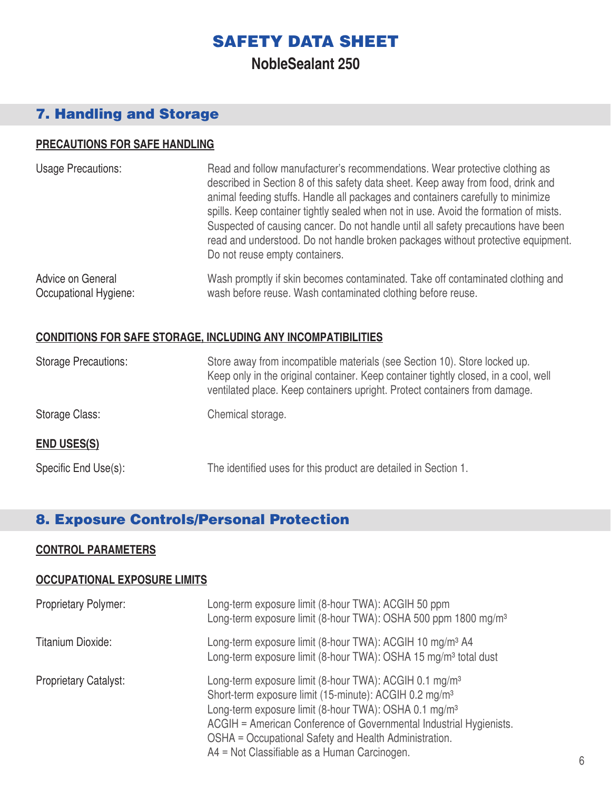**NobleSealant 250**

### 7. Handling and Storage

#### **PRECAUTIONS FOR SAFE HANDLING**

| <b>Usage Precautions:</b> | Read and follow manufacturer's recommendations. Wear protective clothing as<br>described in Section 8 of this safety data sheet. Keep away from food, drink and<br>animal feeding stuffs. Handle all packages and containers carefully to minimize<br>spills. Keep container tightly sealed when not in use. Avoid the formation of mists.<br>Suspected of causing cancer. Do not handle until all safety precautions have been<br>read and understood. Do not handle broken packages without protective equipment.<br>Do not reuse empty containers. |
|---------------------------|-------------------------------------------------------------------------------------------------------------------------------------------------------------------------------------------------------------------------------------------------------------------------------------------------------------------------------------------------------------------------------------------------------------------------------------------------------------------------------------------------------------------------------------------------------|
| Advice on General         | Wash promptly if skin becomes contaminated. Take off contaminated clothing and                                                                                                                                                                                                                                                                                                                                                                                                                                                                        |
| Occupational Hygiene:     | wash before reuse. Wash contaminated clothing before reuse.                                                                                                                                                                                                                                                                                                                                                                                                                                                                                           |

#### **CONDITIONS FOR SAFE STORAGE, INCLUDING ANY INCOMPATIBILITIES**

| <b>Storage Precautions:</b> | Store away from incompatible materials (see Section 10). Store locked up.<br>Keep only in the original container. Keep container tightly closed, in a cool, well<br>ventilated place. Keep containers upright. Protect containers from damage. |
|-----------------------------|------------------------------------------------------------------------------------------------------------------------------------------------------------------------------------------------------------------------------------------------|
| Storage Class:              | Chemical storage.                                                                                                                                                                                                                              |
| <b>END USES(S)</b>          |                                                                                                                                                                                                                                                |
| Specific End Use(s):        | The identified uses for this product are detailed in Section 1.                                                                                                                                                                                |

### 8. Exposure Controls/Personal Protection

#### **CONTROL PARAMETERS**

#### **OCCUPATIONAL EXPOSURE LIMITS**

| <b>Proprietary Polymer:</b>  | Long-term exposure limit (8-hour TWA): ACGIH 50 ppm<br>Long-term exposure limit (8-hour TWA): OSHA 500 ppm 1800 mg/m <sup>3</sup>                                                                                                                                                                                                                                                            |
|------------------------------|----------------------------------------------------------------------------------------------------------------------------------------------------------------------------------------------------------------------------------------------------------------------------------------------------------------------------------------------------------------------------------------------|
| Titanium Dioxide:            | Long-term exposure limit (8-hour TWA): ACGIH 10 mg/m <sup>3</sup> A4<br>Long-term exposure limit (8-hour TWA): OSHA 15 mg/m <sup>3</sup> total dust                                                                                                                                                                                                                                          |
| <b>Proprietary Catalyst:</b> | Long-term exposure limit (8-hour TWA): ACGIH 0.1 mg/m <sup>3</sup><br>Short-term exposure limit (15-minute): ACGIH 0.2 mg/m <sup>3</sup><br>Long-term exposure limit (8-hour TWA): OSHA 0.1 mg/m <sup>3</sup><br>ACGIH = American Conference of Governmental Industrial Hygienists.<br>OSHA = Occupational Safety and Health Administration.<br>A4 = Not Classifiable as a Human Carcinogen. |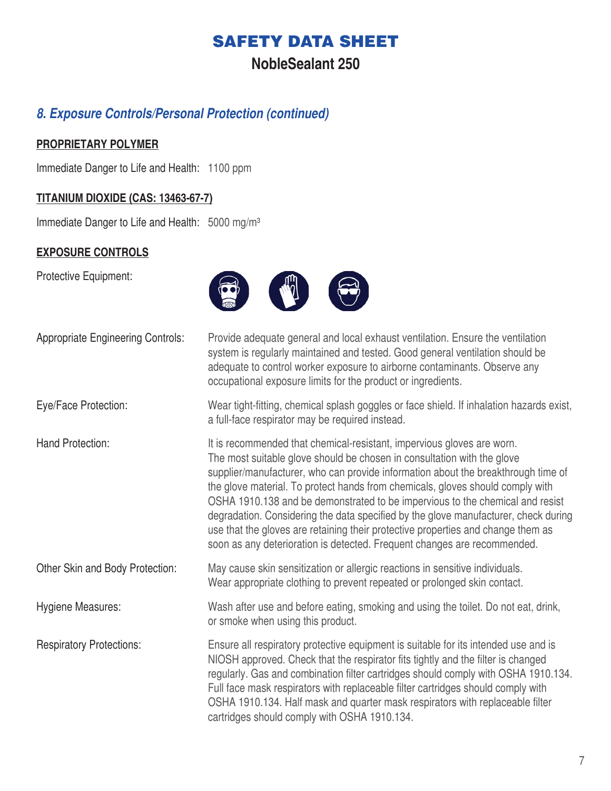### **NobleSealant 250**

### *8. Exposure Controls/Personal Protection (continued)*

#### **PROPRIETARY POLYMER**

Immediate Danger to Life and Health: 1100 ppm

#### **TITANIUM DIOXIDE (CAS: 13463-67-7)**

Immediate Danger to Life and Health: 5000 mg/m<sup>3</sup>

### **EXPOSURE CONTROLS**

Protective Equipment:



| <b>Appropriate Engineering Controls:</b> | Provide adequate general and local exhaust ventilation. Ensure the ventilation<br>system is regularly maintained and tested. Good general ventilation should be<br>adequate to control worker exposure to airborne contaminants. Observe any<br>occupational exposure limits for the product or ingredients.                                                                                                                                                                                                                                                                                                                                                     |
|------------------------------------------|------------------------------------------------------------------------------------------------------------------------------------------------------------------------------------------------------------------------------------------------------------------------------------------------------------------------------------------------------------------------------------------------------------------------------------------------------------------------------------------------------------------------------------------------------------------------------------------------------------------------------------------------------------------|
| Eye/Face Protection:                     | Wear tight-fitting, chemical splash goggles or face shield. If inhalation hazards exist,<br>a full-face respirator may be required instead.                                                                                                                                                                                                                                                                                                                                                                                                                                                                                                                      |
| Hand Protection:                         | It is recommended that chemical-resistant, impervious gloves are worn.<br>The most suitable glove should be chosen in consultation with the glove<br>supplier/manufacturer, who can provide information about the breakthrough time of<br>the glove material. To protect hands from chemicals, gloves should comply with<br>OSHA 1910.138 and be demonstrated to be impervious to the chemical and resist<br>degradation. Considering the data specified by the glove manufacturer, check during<br>use that the gloves are retaining their protective properties and change them as<br>soon as any deterioration is detected. Frequent changes are recommended. |
| Other Skin and Body Protection:          | May cause skin sensitization or allergic reactions in sensitive individuals.<br>Wear appropriate clothing to prevent repeated or prolonged skin contact.                                                                                                                                                                                                                                                                                                                                                                                                                                                                                                         |
| Hygiene Measures:                        | Wash after use and before eating, smoking and using the toilet. Do not eat, drink,<br>or smoke when using this product.                                                                                                                                                                                                                                                                                                                                                                                                                                                                                                                                          |
| <b>Respiratory Protections:</b>          | Ensure all respiratory protective equipment is suitable for its intended use and is<br>NIOSH approved. Check that the respirator fits tightly and the filter is changed<br>regularly. Gas and combination filter cartridges should comply with OSHA 1910.134.<br>Full face mask respirators with replaceable filter cartridges should comply with<br>OSHA 1910.134. Half mask and quarter mask respirators with replaceable filter<br>cartridges should comply with OSHA 1910.134.                                                                                                                                                                               |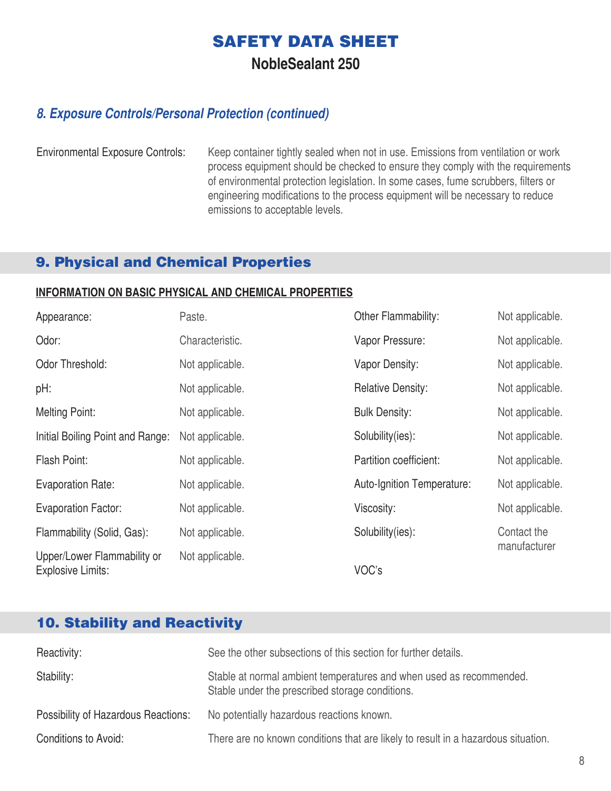**NobleSealant 250**

### *8. Exposure Controls/Personal Protection (continued)*

Environmental Exposure Controls: Keep container tightly sealed when not in use. Emissions from ventilation or work process equipment should be checked to ensure they comply with the requirements of environmental protection legislation. In some cases, fume scrubbers, filters or engineering modifications to the process equipment will be necessary to reduce emissions to acceptable levels.

### 9. Physical and Chemical Properties

#### **INFORMATION ON BASIC PHYSICAL AND CHEMICAL PROPERTIES**

| Appearance:                                             | Paste.          | Other Flammability:        | Not applicable. |
|---------------------------------------------------------|-----------------|----------------------------|-----------------|
| Odor:                                                   | Characteristic. | Vapor Pressure:            | Not applicable. |
| Odor Threshold:                                         | Not applicable. | Vapor Density:             | Not applicable. |
| pH:                                                     | Not applicable. | <b>Relative Density:</b>   | Not applicable. |
| <b>Melting Point:</b>                                   | Not applicable. | <b>Bulk Density:</b>       | Not applicable. |
| Initial Boiling Point and Range:                        | Not applicable. | Solubility(ies):           | Not applicable. |
| Flash Point:                                            | Not applicable. | Partition coefficient:     | Not applicable. |
| <b>Evaporation Rate:</b>                                | Not applicable. | Auto-Ignition Temperature: | Not applicable. |
| <b>Evaporation Factor:</b>                              | Not applicable. | Viscosity:                 | Not applicable. |
| Flammability (Solid, Gas):                              | Not applicable. | Solubility(ies):           | Contact the     |
| Upper/Lower Flammability or<br><b>Explosive Limits:</b> | Not applicable. | VOC's                      | manufacturer    |

### 10. Stability and Reactivity

| Reactivity:                                | See the other subsections of this section for further details.                                                         |
|--------------------------------------------|------------------------------------------------------------------------------------------------------------------------|
| Stability:                                 | Stable at normal ambient temperatures and when used as recommended.<br>Stable under the prescribed storage conditions. |
| <b>Possibility of Hazardous Reactions:</b> | No potentially hazardous reactions known.                                                                              |
| Conditions to Avoid:                       | There are no known conditions that are likely to result in a hazardous situation.                                      |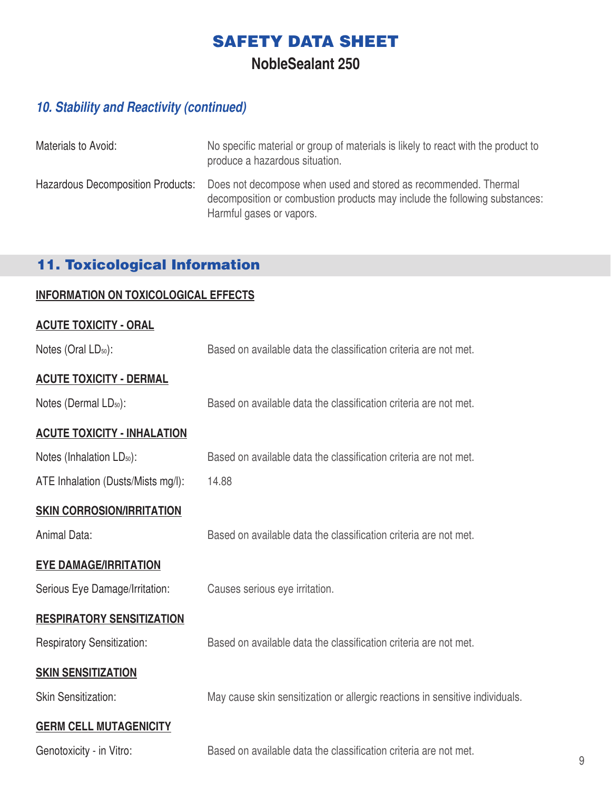**NobleSealant 250**

### *10. Stability and Reactivity (continued)*

| Materials to Avoid:                      | No specific material or group of materials is likely to react with the product to<br>produce a hazardous situation.                                                       |
|------------------------------------------|---------------------------------------------------------------------------------------------------------------------------------------------------------------------------|
| <b>Hazardous Decomposition Products:</b> | Does not decompose when used and stored as recommended. Thermal<br>decomposition or combustion products may include the following substances:<br>Harmful gases or vapors. |

# 11. Toxicological Information

### **INFORMATION ON TOXICOLOGICAL EFFECTS**

#### **ACUTE TOXICITY - ORAL**

| Notes (Oral LD <sub>50</sub> ):       | Based on available data the classification criteria are not met.             |
|---------------------------------------|------------------------------------------------------------------------------|
| <b>ACUTE TOXICITY - DERMAL</b>        |                                                                              |
| Notes (Dermal LD <sub>50</sub> ):     | Based on available data the classification criteria are not met.             |
| <b>ACUTE TOXICITY - INHALATION</b>    |                                                                              |
| Notes (Inhalation LD <sub>50</sub> ): | Based on available data the classification criteria are not met.             |
| ATE Inhalation (Dusts/Mists mg/l):    | 14.88                                                                        |
| <b>SKIN CORROSION/IRRITATION</b>      |                                                                              |
| Animal Data:                          | Based on available data the classification criteria are not met.             |
| <b>EYE DAMAGE/IRRITATION</b>          |                                                                              |
| Serious Eye Damage/Irritation:        | Causes serious eye irritation.                                               |
| <b>RESPIRATORY SENSITIZATION</b>      |                                                                              |
| <b>Respiratory Sensitization:</b>     | Based on available data the classification criteria are not met.             |
| <b>SKIN SENSITIZATION</b>             |                                                                              |
| <b>Skin Sensitization:</b>            | May cause skin sensitization or allergic reactions in sensitive individuals. |
| <b>GERM CELL MUTAGENICITY</b>         |                                                                              |
| Genotoxicity - in Vitro:              | Based on available data the classification criteria are not met.             |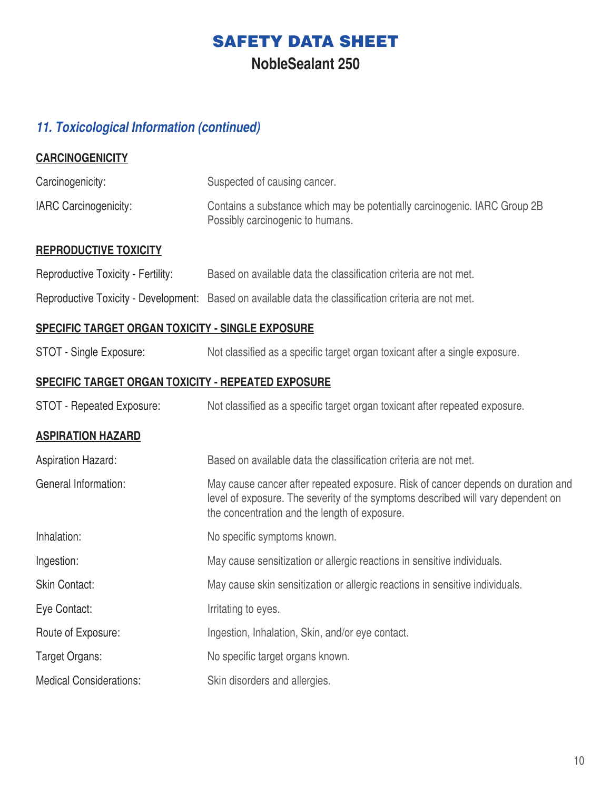**NobleSealant 250**

# *11. Toxicological Information (continued)*

| <b>CARCINOGENICITY</b>                                    |                                                                                                                                                                                                                       |
|-----------------------------------------------------------|-----------------------------------------------------------------------------------------------------------------------------------------------------------------------------------------------------------------------|
| Carcinogenicity:                                          | Suspected of causing cancer.                                                                                                                                                                                          |
| <b>IARC Carcinogenicity:</b>                              | Contains a substance which may be potentially carcinogenic. IARC Group 2B<br>Possibly carcinogenic to humans.                                                                                                         |
| <b>REPRODUCTIVE TOXICITY</b>                              |                                                                                                                                                                                                                       |
| Reproductive Toxicity - Fertility:                        | Based on available data the classification criteria are not met.                                                                                                                                                      |
|                                                           | Reproductive Toxicity - Development: Based on available data the classification criteria are not met.                                                                                                                 |
| <u>SPECIFIC TARGET ORGAN TOXICITY - SINGLE EXPOSURE</u>   |                                                                                                                                                                                                                       |
| STOT - Single Exposure:                                   | Not classified as a specific target organ toxicant after a single exposure.                                                                                                                                           |
| <u>SPECIFIC TARGET ORGAN TOXICITY - REPEATED EXPOSURE</u> |                                                                                                                                                                                                                       |
| <b>STOT - Repeated Exposure:</b>                          | Not classified as a specific target organ toxicant after repeated exposure.                                                                                                                                           |
| <b>ASPIRATION HAZARD</b>                                  |                                                                                                                                                                                                                       |
| <b>Aspiration Hazard:</b>                                 | Based on available data the classification criteria are not met.                                                                                                                                                      |
| General Information:                                      | May cause cancer after repeated exposure. Risk of cancer depends on duration and<br>level of exposure. The severity of the symptoms described will vary dependent on<br>the concentration and the length of exposure. |
| Inhalation:                                               | No specific symptoms known.                                                                                                                                                                                           |
| Ingestion:                                                | May cause sensitization or allergic reactions in sensitive individuals.                                                                                                                                               |
| <b>Skin Contact:</b>                                      | May cause skin sensitization or allergic reactions in sensitive individuals.                                                                                                                                          |
| Eye Contact:                                              | Irritating to eyes.                                                                                                                                                                                                   |
| Route of Exposure:                                        | Ingestion, Inhalation, Skin, and/or eye contact.                                                                                                                                                                      |
| Target Organs:                                            | No specific target organs known.                                                                                                                                                                                      |
| <b>Medical Considerations:</b>                            | Skin disorders and allergies.                                                                                                                                                                                         |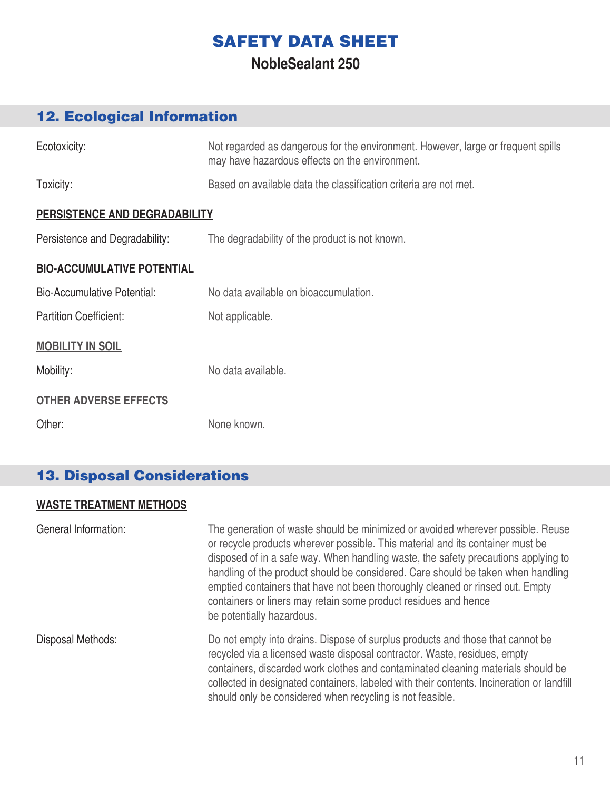### **NobleSealant 250**

# 12. Ecological Information

| Ecotoxicity:                       | Not regarded as dangerous for the environment. However, large or frequent spills<br>may have hazardous effects on the environment. |
|------------------------------------|------------------------------------------------------------------------------------------------------------------------------------|
| Toxicity:                          | Based on available data the classification criteria are not met.                                                                   |
| PERSISTENCE AND DEGRADABILITY      |                                                                                                                                    |
| Persistence and Degradability:     | The degradability of the product is not known.                                                                                     |
| <b>BIO-ACCUMULATIVE POTENTIAL</b>  |                                                                                                                                    |
| <b>Bio-Accumulative Potential:</b> | No data available on bioaccumulation.                                                                                              |
| <b>Partition Coefficient:</b>      | Not applicable.                                                                                                                    |
| <b>MOBILITY IN SOIL</b>            |                                                                                                                                    |
| Mobility:                          | No data available.                                                                                                                 |
| <b>OTHER ADVERSE EFFECTS</b>       |                                                                                                                                    |
| Other:                             | None known.                                                                                                                        |

# 13. Disposal Considerations

### **WASTE TREATMENT METHODS**

| General Information: | The generation of waste should be minimized or avoided wherever possible. Reuse<br>or recycle products wherever possible. This material and its container must be<br>disposed of in a safe way. When handling waste, the safety precautions applying to<br>handling of the product should be considered. Care should be taken when handling<br>emptied containers that have not been thoroughly cleaned or rinsed out. Empty<br>containers or liners may retain some product residues and hence<br>be potentially hazardous. |
|----------------------|------------------------------------------------------------------------------------------------------------------------------------------------------------------------------------------------------------------------------------------------------------------------------------------------------------------------------------------------------------------------------------------------------------------------------------------------------------------------------------------------------------------------------|
| Disposal Methods:    | Do not empty into drains. Dispose of surplus products and those that cannot be<br>recycled via a licensed waste disposal contractor. Waste, residues, empty<br>containers, discarded work clothes and contaminated cleaning materials should be<br>collected in designated containers, labeled with their contents. Incineration or landfill<br>should only be considered when recycling is not feasible.                                                                                                                    |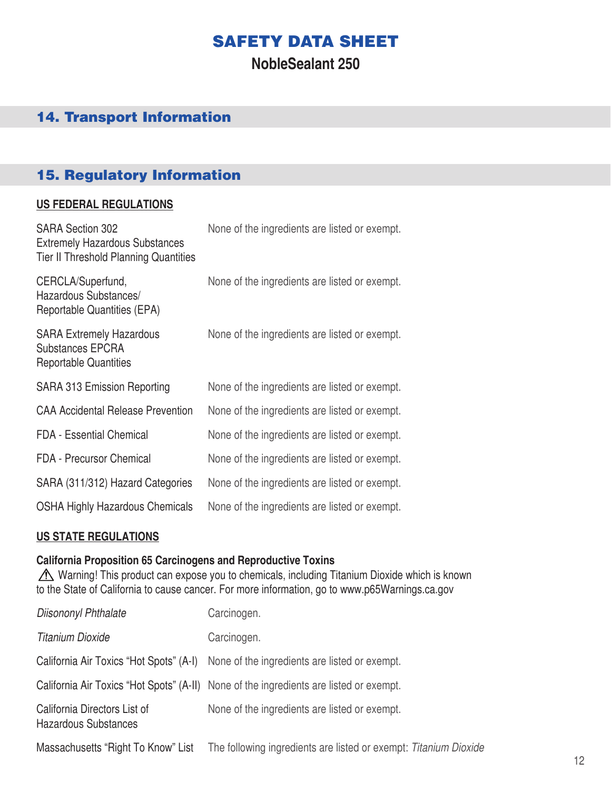### **NobleSealant 250**

### 14. Transport Information

### 15. Regulatory Information

#### **US FEDERAL REGULATIONS**

| <b>SARA Section 302</b><br><b>Extremely Hazardous Substances</b><br><b>Tier II Threshold Planning Quantities</b> | None of the ingredients are listed or exempt. |
|------------------------------------------------------------------------------------------------------------------|-----------------------------------------------|
| CERCLA/Superfund,<br>Hazardous Substances/<br>Reportable Quantities (EPA)                                        | None of the ingredients are listed or exempt. |
| <b>SARA Extremely Hazardous</b><br><b>Substances EPCRA</b><br><b>Reportable Quantities</b>                       | None of the ingredients are listed or exempt. |
| <b>SARA 313 Emission Reporting</b>                                                                               | None of the ingredients are listed or exempt. |
| <b>CAA Accidental Release Prevention</b>                                                                         | None of the ingredients are listed or exempt. |
| <b>FDA - Essential Chemical</b>                                                                                  | None of the ingredients are listed or exempt. |
| <b>FDA</b> - Precursor Chemical                                                                                  | None of the ingredients are listed or exempt. |
| SARA (311/312) Hazard Categories                                                                                 | None of the ingredients are listed or exempt. |
| <b>OSHA Highly Hazardous Chemicals</b>                                                                           | None of the ingredients are listed or exempt. |

#### **US STATE REGULATIONS**

#### **California Proposition 65 Carcinogens and Reproductive Toxins**

 Warning! This product can expose you to chemicals, including Titanium Dioxide which is known to the State of California to cause cancer. For more information, go to www.p65Warnings.ca.gov

| Diisononyl Phthalate                                 | Carcinogen.                                                                            |
|------------------------------------------------------|----------------------------------------------------------------------------------------|
| <b>Titanium Dioxide</b>                              | Carcinogen.                                                                            |
|                                                      | California Air Toxics "Hot Spots" (A-I) None of the ingredients are listed or exempt.  |
|                                                      | California Air Toxics "Hot Spots" (A-II) None of the ingredients are listed or exempt. |
| California Directors List of<br>Hazardous Substances | None of the ingredients are listed or exempt.                                          |
| Massachusetts "Right To Know" List                   | The following ingredients are listed or exempt: Titanium Dioxide                       |